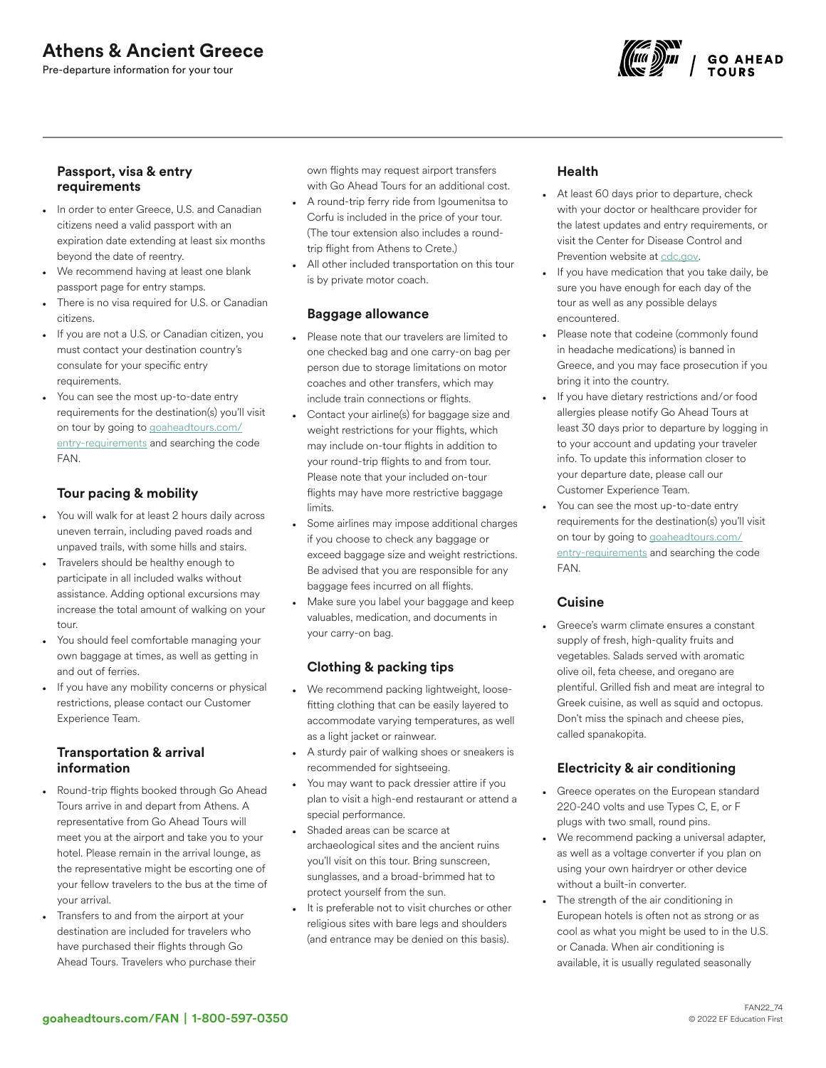# Athens & Ancient Greece

Pre-departure information for your tour



### Passport, visa & entry requirements

- In order to enter Greece, U.S. and Canadian citizens need a valid passport with an expiration date extending at least six months beyond the date of reentry.
- We recommend having at least one blank passport page for entry stamps.
- There is no visa required for U.S. or Canadian citizens.
- If you are not a U.S. or Canadian citizen, you must contact your destination country's consulate for your specific entry requirements.
- You can see the most up-to-date entry requirements for the destination(s) you'll visit on tour by going to [goaheadtours.com/](/entry-requirements?tourCode=FAN) [entry-requirements](/entry-requirements?tourCode=FAN) and searching the code FAN.

## Tour pacing & mobility

- You will walk for at least 2 hours daily across uneven terrain, including paved roads and unpaved trails, with some hills and stairs.
- Travelers should be healthy enough to participate in all included walks without assistance. Adding optional excursions may increase the total amount of walking on your tour.
- You should feel comfortable managing your own baggage at times, as well as getting in and out of ferries.
- If you have any mobility concerns or physical restrictions, please contact our Customer Experience Team.

## Transportation & arrival information

- Round-trip flights booked through Go Ahead Tours arrive in and depart from Athens. A representative from Go Ahead Tours will meet you at the airport and take you to your hotel. Please remain in the arrival lounge, as the representative might be escorting one of your fellow travelers to the bus at the time of your arrival.
- Transfers to and from the airport at your destination are included for travelers who have purchased their flights through Go Ahead Tours. Travelers who purchase their

own flights may request airport transfers with Go Ahead Tours for an additional cost.

- A round-trip ferry ride from Igoumenitsa to Corfu is included in the price of your tour. (The tour extension also includes a roundtrip flight from Athens to Crete.)
- All other included transportation on this tour is by private motor coach.

## Baggage allowance

- Please note that our travelers are limited to one checked bag and one carry-on bag per person due to storage limitations on motor coaches and other transfers, which may include train connections or flights.
- Contact your airline(s) for baggage size and weight restrictions for your flights, which may include on-tour flights in addition to your round-trip flights to and from tour. Please note that your included on-tour flights may have more restrictive baggage limits.
- Some airlines may impose additional charges if you choose to check any baggage or exceed baggage size and weight restrictions. Be advised that you are responsible for any baggage fees incurred on all flights.
- Make sure you label your baggage and keep valuables, medication, and documents in your carry-on bag.

## Clothing & packing tips

- We recommend packing lightweight, loosefitting clothing that can be easily layered to accommodate varying temperatures, as well as a light jacket or rainwear.
- A sturdy pair of walking shoes or sneakers is recommended for sightseeing.
- You may want to pack dressier attire if you plan to visit a high-end restaurant or attend a special performance.
- Shaded areas can be scarce at archaeological sites and the ancient ruins you'll visit on this tour. Bring sunscreen, sunglasses, and a broad-brimmed hat to protect yourself from the sun.
- It is preferable not to visit churches or other religious sites with bare legs and shoulders (and entrance may be denied on this basis).

## Health

- At least 60 days prior to departure, check with your doctor or healthcare provider for the latest updates and entry requirements, or visit the Center for Disease Control and Prevention website at [cdc.gov.](https://www.cdc.gov/)
- If you have medication that you take daily, be sure you have enough for each day of the tour as well as any possible delays encountered.
- Please note that codeine (commonly found in headache medications) is banned in Greece, and you may face prosecution if you bring it into the country.
- If you have dietary restrictions and/or food allergies please notify Go Ahead Tours at least 30 days prior to departure by logging in to your account and updating your traveler info. To update this information closer to your departure date, please call our Customer Experience Team.
- You can see the most up-to-date entry requirements for the destination(s) you'll visit on tour by going to [goaheadtours.com/](/entry-requirements?tourCode=FAN) [entry-requirements](/entry-requirements?tourCode=FAN) and searching the code FAN.

## Cuisine

Greece's warm climate ensures a constant supply of fresh, high-quality fruits and vegetables. Salads served with aromatic olive oil, feta cheese, and oregano are plentiful. Grilled fish and meat are integral to Greek cuisine, as well as squid and octopus. Don't miss the spinach and cheese pies, called spanakopita.

## Electricity & air conditioning

- Greece operates on the European standard 220-240 volts and use Types C, E, or F plugs with two small, round pins.
- We recommend packing a universal adapter, as well as a voltage converter if you plan on using your own hairdryer or other device without a built-in converter.
- The strength of the air conditioning in European hotels is often not as strong or as cool as what you might be used to in the U.S. or Canada. When air conditioning is available, it is usually regulated seasonally